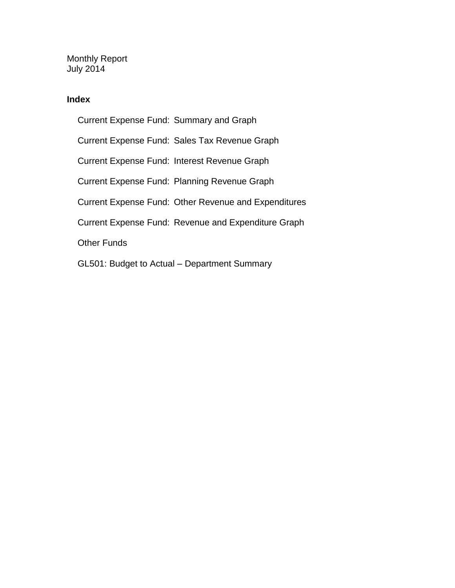Monthly Report July 2014

### **Index**

Current Expense Fund: Summary and Graph Current Expense Fund: Sales Tax Revenue Graph Current Expense Fund: Interest Revenue Graph Current Expense Fund: Planning Revenue Graph Current Expense Fund: Other Revenue and Expenditures Current Expense Fund: Revenue and Expenditure Graph Other Funds GL501: Budget to Actual – Department Summary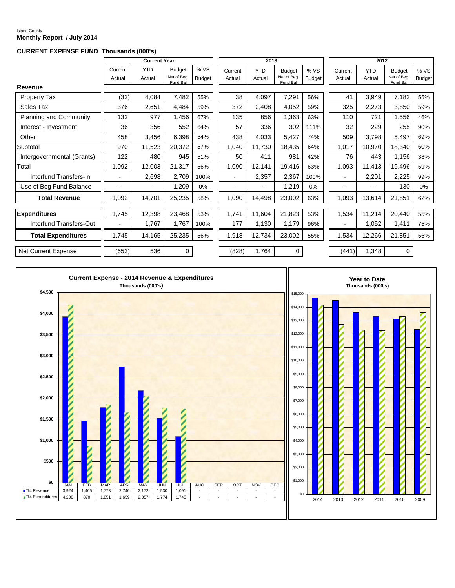#### Island County **Monthly Report / July 2014**

#### **CURRENT EXPENSE FUND Thousands (000's)**

|                               |                | <b>Current Year</b>      |                         |               |         | 2013       |                         |               |         | 2012       |                         |               |
|-------------------------------|----------------|--------------------------|-------------------------|---------------|---------|------------|-------------------------|---------------|---------|------------|-------------------------|---------------|
|                               |                |                          |                         |               |         |            |                         |               |         |            |                         |               |
|                               | Current        | <b>YTD</b>               | <b>Budget</b>           | %VS           | Current | <b>YTD</b> | <b>Budget</b>           | %VS           | Current | <b>YTD</b> | <b>Budget</b>           | % VS          |
|                               | Actual         | Actual                   | Net of Bea.<br>Fund Bal | <b>Budget</b> | Actual  | Actual     | Net of Beg.<br>Fund Bal | <b>Budget</b> | Actual  | Actual     | Net of Beg.<br>Fund Bal | <b>Budget</b> |
| Revenue                       |                |                          |                         |               |         |            |                         |               |         |            |                         |               |
| <b>Property Tax</b>           | (32)           | 4,084                    | 7,482                   | 55%           | 38      | 4,097      | 7,291                   | 56%           | 41      | 3,949      | 7,182                   | 55%           |
| Sales Tax                     | 376            | 2,651                    | 4,484                   | 59%           | 372     | 2,408      | 4,052                   | 59%           | 325     | 2,273      | 3,850                   | 59%           |
| <b>Planning and Community</b> | 132            | 977                      | 1,456                   | 67%           | 135     | 856        | 1,363                   | 63%           | 110     | 721        | 1,556                   | 46%           |
| Interest - Investment         | 36             | 356                      | 552                     | 64%           | 57      | 336        | 302                     | 111%          | 32      | 229        | 255                     | 90%           |
| Other                         | 458            | 3,456                    | 6,398                   | 54%           | 438     | 4,033      | 5,427                   | 74%           | 509     | 3,798      | 5,497                   | 69%           |
| Subtotal                      | 970            | 11,523                   | 20,372                  | 57%           | 1,040   | 11,730     | 18,435                  | 64%           | 1,017   | 10,970     | 18,340                  | 60%           |
| Intergovernmental (Grants)    | 122            | 480                      | 945                     | 51%           | 50      | 411        | 981                     | 42%           | 76      | 443        | 1,156                   | 38%           |
| Total                         | 1,092          | 12,003                   | 21,317                  | 56%           | 1,090   | 12,141     | 19,416                  | 63%           | 1,093   | 11,413     | 19,496                  | 59%           |
| Interfund Transfers-In        | $\blacksquare$ | 2,698                    | 2,709                   | 100%          | ٠       | 2,357      | 2,367                   | 100%          |         | 2,201      | 2,225                   | 99%           |
| Use of Beg Fund Balance       |                | $\overline{\phantom{a}}$ | 1,209                   | $0\%$         | ٠       |            | 1,219                   | 0%            |         | -          | 130                     | $0\%$         |
| <b>Total Revenue</b>          | 1,092          | 14,701                   | 25,235                  | 58%           | 1,090   | 14,498     | 23,002                  | 63%           | 1,093   | 13,614     | 21,851                  | 62%           |
| <b>Expenditures</b>           | 1,745          | 12,398                   | 23,468                  | 53%           | 1,741   | 11,604     | 21,823                  | 53%           | 1,534   | 11,214     | 20,440                  | 55%           |
| Interfund Transfers-Out       |                | 1,767                    | 1,767                   | 100%          | 177     | 1,130      | 1,179                   | 96%           |         | 1,052      | 1,411                   | 75%           |
| <b>Total Expenditures</b>     | 1,745          | 14,165                   | 25,235                  | 56%           | 1,918   | 12,734     | 23,002                  | 55%           | 1,534   | 12,266     | 21,851                  | 56%           |
| Net Current Expense           | (653)          | 536                      | $\mathbf 0$             |               | (828)   | 1,764      | $\mathbf 0$             |               | (441)   | 1,348      | 0                       |               |

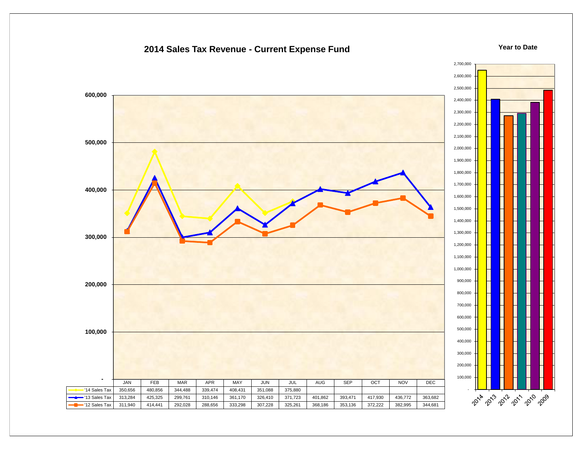### **2014 Sales Tax Revenue - Current Expense Fund**

#### **Year to Date**

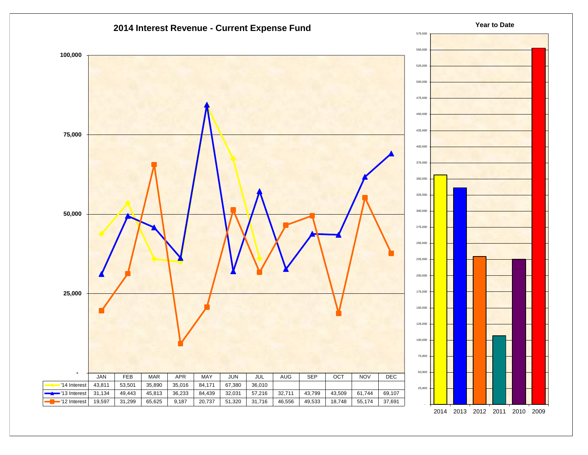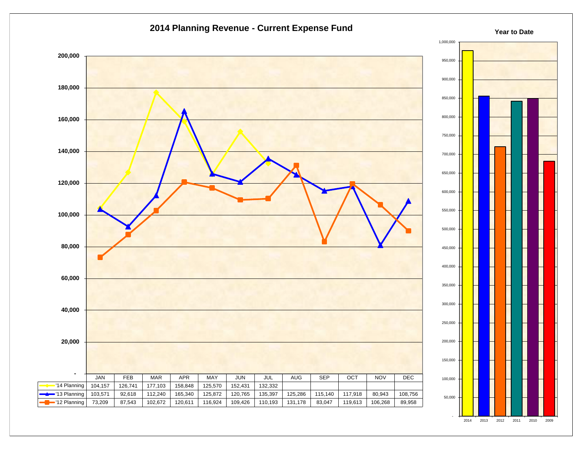



**Year to Date**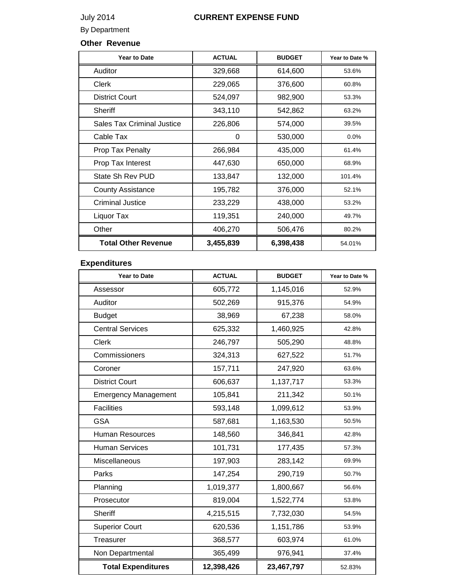## July 2014 **CURRENT EXPENSE FUND**

### By Department

### **Other Revenue**

| <b>Year to Date</b>               | <b>ACTUAL</b> | <b>BUDGET</b> | Year to Date % |
|-----------------------------------|---------------|---------------|----------------|
| Auditor                           | 329,668       | 614,600       | 53.6%          |
| <b>Clerk</b>                      | 229,065       | 376,600       | 60.8%          |
| <b>District Court</b>             | 524,097       | 982,900       | 53.3%          |
| <b>Sheriff</b>                    | 343,110       | 542,862       | 63.2%          |
| <b>Sales Tax Criminal Justice</b> | 226,806       | 574,000       | 39.5%          |
| Cable Tax                         | 0             | 530,000       | 0.0%           |
| Prop Tax Penalty                  | 266,984       | 435,000       | 61.4%          |
| Prop Tax Interest                 | 447,630       | 650,000       | 68.9%          |
| State Sh Rev PUD                  | 133,847       | 132,000       | 101.4%         |
| <b>County Assistance</b>          | 195,782       | 376,000       | 52.1%          |
| Criminal Justice                  | 233,229       | 438,000       | 53.2%          |
| Liquor Tax                        | 119,351       | 240,000       | 49.7%          |
| Other                             | 406,270       | 506,476       | 80.2%          |
| <b>Total Other Revenue</b>        | 3,455,839     | 6,398,438     | 54.01%         |

## **Expenditures**

| <b>Year to Date</b>         | <b>ACTUAL</b> | <b>BUDGET</b> | Year to Date % |
|-----------------------------|---------------|---------------|----------------|
| Assessor                    | 605,772       | 1,145,016     | 52.9%          |
| Auditor                     | 502,269       | 915,376       | 54.9%          |
| <b>Budget</b>               | 38,969        | 67,238        | 58.0%          |
| <b>Central Services</b>     | 625,332       | 1,460,925     | 42.8%          |
| <b>Clerk</b>                | 246,797       | 505,290       | 48.8%          |
| Commissioners               | 324,313       | 627,522       | 51.7%          |
| Coroner                     | 157,711       | 247,920       | 63.6%          |
| <b>District Court</b>       | 606,637       | 1,137,717     | 53.3%          |
| <b>Emergency Management</b> | 105,841       | 211,342       | 50.1%          |
| <b>Facilities</b>           | 593,148       | 1,099,612     | 53.9%          |
| <b>GSA</b>                  | 587,681       | 1,163,530     | 50.5%          |
| <b>Human Resources</b>      | 148,560       | 346,841       | 42.8%          |
| <b>Human Services</b>       | 101,731       | 177,435       | 57.3%          |
| Miscellaneous               | 197,903       | 283,142       | 69.9%          |
| Parks                       | 147,254       | 290,719       | 50.7%          |
| Planning                    | 1,019,377     | 1,800,667     | 56.6%          |
| Prosecutor                  | 819,004       | 1,522,774     | 53.8%          |
| <b>Sheriff</b>              | 4,215,515     | 7,732,030     | 54.5%          |
| <b>Superior Court</b>       | 620,536       | 1,151,786     | 53.9%          |
| Treasurer                   | 368,577       | 603,974       | 61.0%          |
| Non Departmental            | 365,499       | 976,941       | 37.4%          |
| <b>Total Expenditures</b>   | 12,398,426    | 23,467,797    | 52.83%         |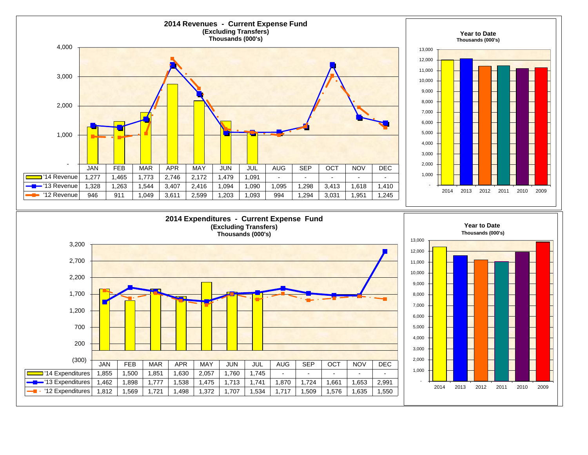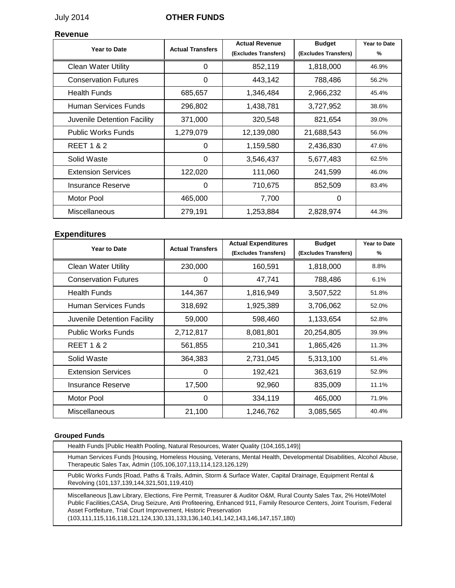### July 2014 **OTHER FUNDS**

### **Revenue**

| Year to Date                | <b>Actual Transfers</b> | <b>Actual Revenue</b><br>(Excludes Transfers) | <b>Budget</b><br>(Excludes Transfers) | Year to Date<br>% |
|-----------------------------|-------------------------|-----------------------------------------------|---------------------------------------|-------------------|
| <b>Clean Water Utility</b>  | 0                       | 852,119                                       | 1,818,000                             | 46.9%             |
| <b>Conservation Futures</b> | $\Omega$                | 443,142                                       | 788,486                               | 56.2%             |
| <b>Health Funds</b>         | 685,657                 | 1,346,484                                     | 2,966,232                             | 45.4%             |
| Human Services Funds        | 296,802                 | 1,438,781                                     | 3,727,952                             | 38.6%             |
| Juvenile Detention Facility | 371,000                 | 320,548                                       | 821,654                               | 39.0%             |
| <b>Public Works Funds</b>   | 1,279,079               | 12,139,080                                    | 21,688,543                            | 56.0%             |
| <b>REET 1 &amp; 2</b>       | $\Omega$                | 1,159,580                                     | 2,436,830                             | 47.6%             |
| Solid Waste                 | 0                       | 3,546,437                                     | 5,677,483                             | 62.5%             |
| <b>Extension Services</b>   | 122,020                 | 111,060                                       | 241,599                               | 46.0%             |
| <b>Insurance Reserve</b>    | $\Omega$                | 710,675                                       | 852,509                               | 83.4%             |
| Motor Pool                  | 465,000                 | 7,700                                         | $\Omega$                              |                   |
| Miscellaneous               | 279,191                 | 1,253,884                                     | 2,828,974                             | 44.3%             |

### **Expenditures**

| Year to Date                | <b>Actual Transfers</b> | <b>Actual Expenditures</b><br>(Excludes Transfers) | <b>Budget</b><br>(Excludes Transfers) | Year to Date<br>% |
|-----------------------------|-------------------------|----------------------------------------------------|---------------------------------------|-------------------|
| <b>Clean Water Utility</b>  | 230,000                 | 160,591                                            | 1,818,000                             | 8.8%              |
| <b>Conservation Futures</b> | $\Omega$                | 47,741                                             | 788,486                               | 6.1%              |
| <b>Health Funds</b>         | 144,367                 | 1,816,949                                          | 3,507,522                             | 51.8%             |
| Human Services Funds        | 318,692                 | 1,925,389                                          | 3,706,062                             | 52.0%             |
| Juvenile Detention Facility | 59,000                  | 598,460                                            | 1,133,654                             | 52.8%             |
| <b>Public Works Funds</b>   | 2,712,817               | 8,081,801                                          | 20,254,805                            | 39.9%             |
| <b>REET 1 &amp; 2</b>       | 561,855                 | 210,341                                            | 1,865,426                             | 11.3%             |
| Solid Waste                 | 364,383                 | 2,731,045                                          | 5,313,100                             | 51.4%             |
| <b>Extension Services</b>   | 0                       | 192,421                                            | 363,619                               | 52.9%             |
| Insurance Reserve           | 17,500                  | 92,960                                             | 835,009                               | 11.1%             |
| Motor Pool                  | 0                       | 334,119                                            | 465,000                               | 71.9%             |
| <b>Miscellaneous</b>        | 21,100                  | 1,246,762                                          | 3,085,565                             | 40.4%             |

### **Grouped Funds**

| Health Funds [Public Health Pooling, Natural Resources, Water Quality (104,165,149)]                                                                                                                                                                                                                                                                                                                                     |
|--------------------------------------------------------------------------------------------------------------------------------------------------------------------------------------------------------------------------------------------------------------------------------------------------------------------------------------------------------------------------------------------------------------------------|
| Human Services Funds [Housing, Homeless Housing, Veterans, Mental Health, Developmental Disabilities, Alcohol Abuse,<br>Therapeutic Sales Tax, Admin (105,106,107,113,114,123,126,129)                                                                                                                                                                                                                                   |
| Public Works Funds [Road, Paths & Trails, Admin, Storm & Surface Water, Capital Drainage, Equipment Rental &<br>Revolving (101,137,139,144,321,501,119,410)                                                                                                                                                                                                                                                              |
| Miscellaneous [Law Library, Elections, Fire Permit, Treasurer & Auditor O&M, Rural County Sales Tax, 2% Hotel/Motel<br>Public Facilities, CASA, Drug Seizure, Anti Profiteering, Enhanced 911, Family Resource Centers, Joint Tourism, Federal<br>Asset Fortfeiture, Trial Court Improvement, Historic Preservation<br>$(103, 111, 115, 116, 118, 121, 124, 130, 131, 133, 136, 140, 141, 142, 143, 146, 147, 157, 180)$ |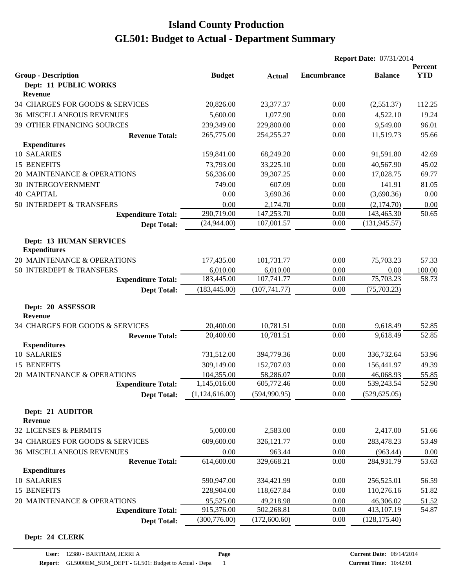|                                                       |                |               | <b>Report Date: 07/31/2014</b> |                |                       |
|-------------------------------------------------------|----------------|---------------|--------------------------------|----------------|-----------------------|
| <b>Group - Description</b>                            | <b>Budget</b>  | <b>Actual</b> | <b>Encumbrance</b>             | <b>Balance</b> | Percent<br><b>YTD</b> |
| Dept: 11 PUBLIC WORKS                                 |                |               |                                |                |                       |
| Revenue                                               |                |               |                                |                |                       |
| 34 CHARGES FOR GOODS & SERVICES                       | 20,826.00      | 23,377.37     | 0.00                           | (2,551.37)     | 112.25                |
| <b>36 MISCELLANEOUS REVENUES</b>                      | 5,600.00       | 1,077.90      | 0.00                           | 4,522.10       | 19.24                 |
| 39 OTHER FINANCING SOURCES                            | 239,349.00     | 229,800.00    | 0.00                           | 9,549.00       | 96.01                 |
| <b>Revenue Total:</b>                                 | 265,775.00     | 254, 255. 27  | 0.00                           | 11,519.73      | 95.66                 |
| <b>Expenditures</b>                                   |                |               |                                |                |                       |
| 10 SALARIES                                           | 159,841.00     | 68,249.20     | 0.00                           | 91,591.80      | 42.69                 |
| 15 BENEFITS                                           | 73,793.00      | 33,225.10     | 0.00                           | 40,567.90      | 45.02                 |
| 20 MAINTENANCE & OPERATIONS                           | 56,336.00      | 39,307.25     | 0.00                           | 17,028.75      | 69.77                 |
| <b>30 INTERGOVERNMENT</b>                             | 749.00         | 607.09        | 0.00                           | 141.91         | 81.05                 |
| <b>40 CAPITAL</b>                                     | 0.00           | 3,690.36      | 0.00                           | (3,690.36)     | 0.00                  |
| 50 INTERDEPT & TRANSFERS                              | 0.00           | 2,174.70      | 0.00                           | (2,174.70)     | 0.00                  |
| <b>Expenditure Total:</b>                             | 290,719.00     | 147,253.70    | 0.00                           | 143,465.30     | 50.65                 |
| <b>Dept Total:</b>                                    | (24,944.00)    | 107,001.57    | 0.00                           | (131, 945.57)  |                       |
| <b>Dept: 13 HUMAN SERVICES</b><br><b>Expenditures</b> |                |               |                                |                |                       |
| 20 MAINTENANCE & OPERATIONS                           | 177,435.00     | 101,731.77    | 0.00                           | 75,703.23      | 57.33                 |
| 50 INTERDEPT & TRANSFERS                              | 6,010.00       | 6,010.00      | 0.00                           | 0.00           | 100.00                |
| <b>Expenditure Total:</b>                             | 183,445.00     | 107,741.77    | 0.00                           | 75,703.23      | 58.73                 |
| <b>Dept Total:</b>                                    | (183, 445.00)  | (107, 741.77) | 0.00                           | (75, 703.23)   |                       |
| Dept: 20 ASSESSOR<br>Revenue                          |                |               |                                |                |                       |
| 34 CHARGES FOR GOODS & SERVICES                       | 20,400.00      | 10,781.51     | 0.00                           | 9,618.49       | 52.85                 |
| <b>Revenue Total:</b>                                 | 20,400.00      | 10,781.51     | 0.00                           | 9,618.49       | 52.85                 |
| <b>Expenditures</b>                                   |                |               |                                |                |                       |
| 10 SALARIES                                           | 731,512.00     | 394,779.36    | 0.00                           | 336,732.64     | 53.96                 |
| 15 BENEFITS                                           | 309,149.00     | 152,707.03    | 0.00                           | 156,441.97     | 49.39                 |
| 20 MAINTENANCE & OPERATIONS                           | 104,355.00     | 58,286.07     | 0.00                           | 46,068.93      | 55.85                 |
| <b>Expenditure Total:</b>                             | 1,145,016.00   | 605,772.46    | 0.00                           | 539,243.54     | 52.90                 |
| <b>Dept Total:</b>                                    | (1,124,616.00) | (594, 990.95) | 0.00                           | (529, 625.05)  |                       |
| Dept: 21 AUDITOR<br><b>Revenue</b>                    |                |               |                                |                |                       |
| 32 LICENSES & PERMITS                                 | 5,000.00       | 2,583.00      | 0.00                           | 2,417.00       | 51.66                 |
| 34 CHARGES FOR GOODS & SERVICES                       | 609,600.00     | 326,121.77    | 0.00                           | 283,478.23     | 53.49                 |
| <b>36 MISCELLANEOUS REVENUES</b>                      | 0.00           | 963.44        | 0.00                           | (963.44)       | 0.00                  |
| <b>Revenue Total:</b>                                 | 614,600.00     | 329,668.21    | 0.00                           | 284,931.79     | 53.63                 |
| <b>Expenditures</b>                                   |                |               |                                |                |                       |
| 10 SALARIES                                           | 590,947.00     | 334,421.99    | 0.00                           | 256,525.01     | 56.59                 |
| 15 BENEFITS                                           | 228,904.00     | 118,627.84    | 0.00                           | 110,276.16     | 51.82                 |
| 20 MAINTENANCE & OPERATIONS                           | 95,525.00      | 49,218.98     | 0.00                           | 46,306.02      | 51.52                 |
| <b>Expenditure Total:</b>                             | 915,376.00     | 502,268.81    | 0.00                           | 413,107.19     | 54.87                 |
| <b>Dept Total:</b>                                    | (300, 776.00)  | (172,600.60)  | 0.00                           | (128, 175.40)  |                       |

#### **Dept: 24 CLERK**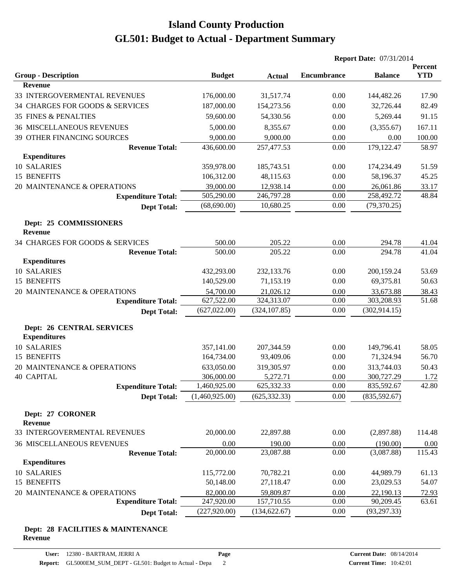|                                   |                |               | <b>Report Date: 07/31/2014</b> |                |            |
|-----------------------------------|----------------|---------------|--------------------------------|----------------|------------|
|                                   |                |               |                                |                | Percent    |
| <b>Group - Description</b>        | <b>Budget</b>  | <b>Actual</b> | <b>Encumbrance</b>             | <b>Balance</b> | <b>YTD</b> |
| <b>Revenue</b>                    |                |               |                                |                |            |
| 33 INTERGOVERMENTAL REVENUES      | 176,000.00     | 31,517.74     | 0.00                           | 144,482.26     | 17.90      |
| 34 CHARGES FOR GOODS & SERVICES   | 187,000.00     | 154,273.56    | 0.00                           | 32,726.44      | 82.49      |
| 35 FINES & PENALTIES              | 59,600.00      | 54,330.56     | 0.00                           | 5,269.44       | 91.15      |
| <b>36 MISCELLANEOUS REVENUES</b>  | 5,000.00       | 8,355.67      | 0.00                           | (3,355.67)     | 167.11     |
| <b>39 OTHER FINANCING SOURCES</b> | 9,000.00       | 9,000.00      | 0.00                           | 0.00           | 100.00     |
| <b>Revenue Total:</b>             | 436,600.00     | 257,477.53    | 0.00                           | 179,122.47     | 58.97      |
| <b>Expenditures</b>               |                |               |                                |                |            |
| 10 SALARIES                       | 359,978.00     | 185,743.51    | 0.00                           | 174,234.49     | 51.59      |
| 15 BENEFITS                       | 106,312.00     | 48,115.63     | 0.00                           | 58,196.37      | 45.25      |
| 20 MAINTENANCE & OPERATIONS       | 39,000.00      | 12,938.14     | 0.00                           | 26,061.86      | 33.17      |
| <b>Expenditure Total:</b>         | 505,290.00     | 246,797.28    | 0.00                           | 258,492.72     | 48.84      |
| <b>Dept Total:</b>                | (68, 690.00)   | 10,680.25     | 0.00                           | (79, 370.25)   |            |
| Dept: 25 COMMISSIONERS            |                |               |                                |                |            |
| <b>Revenue</b>                    |                |               |                                |                |            |
| 34 CHARGES FOR GOODS & SERVICES   | 500.00         | 205.22        | 0.00                           | 294.78         | 41.04      |
| <b>Revenue Total:</b>             | 500.00         | 205.22        | 0.00                           | 294.78         | 41.04      |
| <b>Expenditures</b>               |                |               |                                |                |            |
| 10 SALARIES                       | 432,293.00     | 232,133.76    | 0.00                           | 200,159.24     | 53.69      |
| 15 BENEFITS                       | 140,529.00     | 71,153.19     | 0.00                           | 69,375.81      | 50.63      |
| 20 MAINTENANCE & OPERATIONS       | 54,700.00      | 21,026.12     | 0.00                           | 33,673.88      | 38.43      |
| <b>Expenditure Total:</b>         | 627,522.00     | 324,313.07    | 0.00                           | 303,208.93     | 51.68      |
| <b>Dept Total:</b>                | (627, 022.00)  | (324, 107.85) | 0.00                           | (302, 914.15)  |            |
| <b>Dept: 26 CENTRAL SERVICES</b>  |                |               |                                |                |            |
| <b>Expenditures</b>               |                |               |                                |                |            |
| 10 SALARIES                       | 357,141.00     | 207,344.59    | 0.00                           | 149,796.41     | 58.05      |
| 15 BENEFITS                       | 164,734.00     | 93,409.06     | 0.00                           | 71,324.94      | 56.70      |
| 20 MAINTENANCE & OPERATIONS       | 633,050.00     | 319,305.97    | 0.00                           | 313,744.03     | 50.43      |
| <b>40 CAPITAL</b>                 | 306,000.00     | 5,272.71      | 0.00                           | 300,727.29     | 1.72       |
| <b>Expenditure Total:</b>         | 1,460,925.00   | 625,332.33    | 0.00                           | 835,592.67     | 42.80      |
| <b>Dept Total:</b>                | (1,460,925.00) | (625, 332.33) | 0.00                           | (835, 592.67)  |            |
| Dept: 27 CORONER                  |                |               |                                |                |            |
| <b>Revenue</b>                    |                |               |                                |                |            |
| 33 INTERGOVERMENTAL REVENUES      | 20,000.00      | 22,897.88     | 0.00                           | (2,897.88)     | 114.48     |
| <b>36 MISCELLANEOUS REVENUES</b>  | 0.00           | 190.00        | 0.00                           | (190.00)       | 0.00       |
| <b>Revenue Total:</b>             | 20,000.00      | 23,087.88     | 0.00                           | (3,087.88)     | 115.43     |
| <b>Expenditures</b>               |                |               |                                |                |            |
| 10 SALARIES                       | 115,772.00     | 70,782.21     | 0.00                           | 44,989.79      | 61.13      |
| 15 BENEFITS                       | 50,148.00      | 27,118.47     | 0.00                           | 23,029.53      | 54.07      |
| 20 MAINTENANCE & OPERATIONS       | 82,000.00      | 59,809.87     | 0.00                           | 22,190.13      | 72.93      |
| <b>Expenditure Total:</b>         | 247,920.00     | 157,710.55    | 0.00                           | 90,209.45      | 63.61      |
| <b>Dept Total:</b>                | (227, 920.00)  | (134, 622.67) | 0.00                           | (93, 297.33)   |            |
|                                   |                |               |                                |                |            |

#### **Dept: 28 FACILITIES & MAINTENANCE Revenue**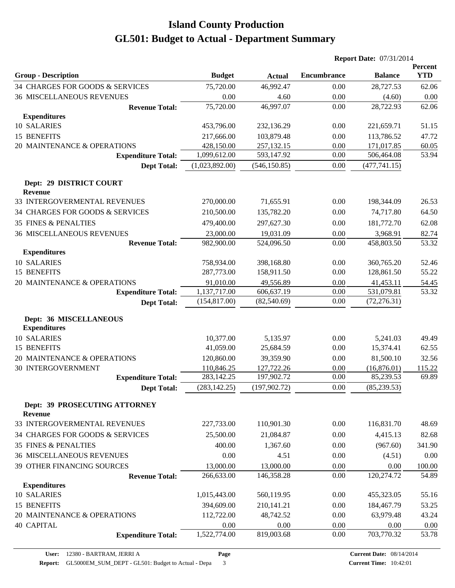|                                                      |                |               | <b>Report Date: 07/31/2014</b> |                |                       |
|------------------------------------------------------|----------------|---------------|--------------------------------|----------------|-----------------------|
| <b>Group - Description</b>                           | <b>Budget</b>  | <b>Actual</b> | <b>Encumbrance</b>             | <b>Balance</b> | Percent<br><b>YTD</b> |
| 34 CHARGES FOR GOODS & SERVICES                      | 75,720.00      | 46,992.47     | 0.00                           | 28,727.53      | 62.06                 |
| <b>36 MISCELLANEOUS REVENUES</b>                     | 0.00           | 4.60          | 0.00                           | (4.60)         | 0.00                  |
| <b>Revenue Total:</b>                                | 75,720.00      | 46,997.07     | 0.00                           | 28,722.93      | 62.06                 |
| <b>Expenditures</b>                                  |                |               |                                |                |                       |
| 10 SALARIES                                          | 453,796.00     | 232,136.29    | 0.00                           | 221,659.71     | 51.15                 |
| 15 BENEFITS                                          | 217,666.00     | 103,879.48    | 0.00                           | 113,786.52     | 47.72                 |
| 20 MAINTENANCE & OPERATIONS                          | 428,150.00     | 257,132.15    | 0.00                           | 171,017.85     | 60.05                 |
| <b>Expenditure Total:</b>                            | 1,099,612.00   | 593,147.92    | 0.00                           | 506,464.08     | 53.94                 |
| <b>Dept Total:</b>                                   | (1,023,892.00) | (546, 150.85) | 0.00                           | (477, 741.15)  |                       |
| Dept: 29 DISTRICT COURT<br>Revenue                   |                |               |                                |                |                       |
| 33 INTERGOVERMENTAL REVENUES                         | 270,000.00     | 71,655.91     | 0.00                           | 198,344.09     | 26.53                 |
| 34 CHARGES FOR GOODS & SERVICES                      | 210,500.00     | 135,782.20    | 0.00                           | 74,717.80      | 64.50                 |
| 35 FINES & PENALTIES                                 | 479,400.00     | 297,627.30    | 0.00                           | 181,772.70     | 62.08                 |
| <b>36 MISCELLANEOUS REVENUES</b>                     | 23,000.00      | 19,031.09     | 0.00                           | 3,968.91       | 82.74                 |
| <b>Revenue Total:</b>                                | 982,900.00     | 524,096.50    | 0.00                           | 458,803.50     | 53.32                 |
| <b>Expenditures</b>                                  |                |               |                                |                |                       |
| 10 SALARIES                                          | 758,934.00     | 398,168.80    | 0.00                           | 360,765.20     | 52.46                 |
| 15 BENEFITS                                          | 287,773.00     | 158,911.50    | 0.00                           | 128,861.50     | 55.22                 |
| 20 MAINTENANCE & OPERATIONS                          | 91,010.00      | 49,556.89     | 0.00                           | 41,453.11      | 54.45                 |
| <b>Expenditure Total:</b>                            | 1,137,717.00   | 606,637.19    | 0.00                           | 531,079.81     | 53.32                 |
| <b>Dept Total:</b>                                   | (154, 817.00)  | (82, 540.69)  | 0.00                           | (72, 276.31)   |                       |
| <b>Dept: 36 MISCELLANEOUS</b><br><b>Expenditures</b> |                |               |                                |                |                       |
| <b>10 SALARIES</b>                                   | 10,377.00      | 5,135.97      | 0.00                           | 5,241.03       | 49.49                 |
| 15 BENEFITS                                          | 41,059.00      | 25,684.59     | 0.00                           | 15,374.41      | 62.55                 |
| 20 MAINTENANCE & OPERATIONS                          | 120,860.00     | 39,359.90     | 0.00                           | 81,500.10      | 32.56                 |
| 30 INTERGOVERNMENT                                   | 110,846.25     | 127,722.26    | 0.00                           | (16,876.01)    | 115.22                |
| <b>Expenditure Total:</b>                            | 283,142.25     | 197,902.72    | 0.00                           | 85,239.53      | 69.89                 |
| <b>Dept Total:</b>                                   | (283, 142.25)  | (197, 902.72) | 0.00                           | (85, 239.53)   |                       |
| Dept: 39 PROSECUTING ATTORNEY<br><b>Revenue</b>      |                |               |                                |                |                       |
| 33 INTERGOVERMENTAL REVENUES                         | 227,733.00     | 110,901.30    | 0.00                           | 116,831.70     | 48.69                 |
| 34 CHARGES FOR GOODS & SERVICES                      | 25,500.00      | 21,084.87     | 0.00                           | 4,415.13       | 82.68                 |
| 35 FINES & PENALTIES                                 | 400.00         | 1,367.60      | 0.00                           | (967.60)       | 341.90                |
| <b>36 MISCELLANEOUS REVENUES</b>                     | 0.00           | 4.51          | 0.00                           | (4.51)         | 0.00                  |
| 39 OTHER FINANCING SOURCES                           | 13,000.00      | 13,000.00     | 0.00                           | 0.00           | 100.00                |
| <b>Revenue Total:</b>                                | 266,633.00     | 146,358.28    | 0.00                           | 120,274.72     | 54.89                 |
| <b>Expenditures</b>                                  |                |               |                                |                |                       |
| 10 SALARIES                                          | 1,015,443.00   | 560,119.95    | 0.00                           | 455,323.05     | 55.16                 |
| 15 BENEFITS                                          | 394,609.00     | 210,141.21    | 0.00                           | 184,467.79     | 53.25                 |
| 20 MAINTENANCE & OPERATIONS                          | 112,722.00     | 48,742.52     | 0.00                           | 63,979.48      | 43.24                 |
| <b>40 CAPITAL</b>                                    | 0.00           | 0.00          | 0.00                           | 0.00           | 0.00                  |
| <b>Expenditure Total:</b>                            | 1,522,774.00   | 819,003.68    | 0.00                           | 703,770.32     | 53.78                 |
|                                                      |                |               |                                |                |                       |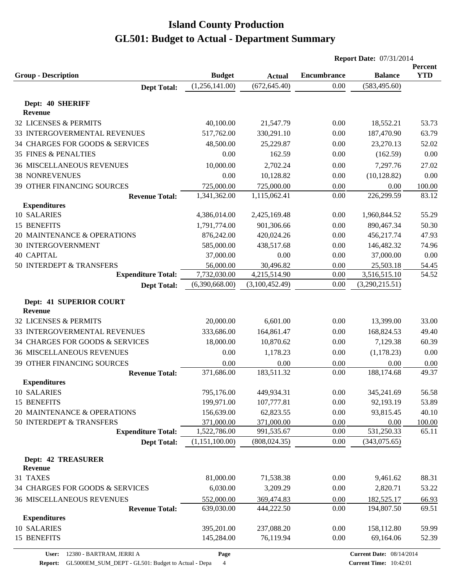|                                           |                |                                | <b>Report Date: 07/31/2014</b> |                |                       |
|-------------------------------------------|----------------|--------------------------------|--------------------------------|----------------|-----------------------|
| <b>Group - Description</b>                | <b>Budget</b>  |                                | <b>Encumbrance</b>             | <b>Balance</b> | Percent<br><b>YTD</b> |
|                                           | (1,256,141.00) | <b>Actual</b><br>(672, 645.40) | 0.00                           | (583, 495.60)  |                       |
| <b>Dept Total:</b>                        |                |                                |                                |                |                       |
| Dept: 40 SHERIFF                          |                |                                |                                |                |                       |
| <b>Revenue</b>                            |                |                                |                                |                |                       |
| 32 LICENSES & PERMITS                     | 40,100.00      | 21,547.79                      | 0.00                           | 18,552.21      | 53.73                 |
| 33 INTERGOVERMENTAL REVENUES              | 517,762.00     | 330,291.10                     | 0.00                           | 187,470.90     | 63.79                 |
| 34 CHARGES FOR GOODS & SERVICES           | 48,500.00      | 25,229.87                      | 0.00                           | 23,270.13      | 52.02                 |
| <b>35 FINES &amp; PENALTIES</b>           | 0.00           | 162.59                         | 0.00                           | (162.59)       | 0.00                  |
| <b>36 MISCELLANEOUS REVENUES</b>          | 10,000.00      | 2,702.24                       | 0.00                           | 7,297.76       | 27.02                 |
| <b>38 NONREVENUES</b>                     | 0.00           | 10,128.82                      | 0.00                           | (10, 128.82)   | 0.00                  |
| 39 OTHER FINANCING SOURCES                | 725,000.00     | 725,000.00                     | 0.00                           | 0.00           | 100.00                |
| <b>Revenue Total:</b>                     | 1,341,362.00   | 1,115,062.41                   | 0.00                           | 226,299.59     | 83.12                 |
| <b>Expenditures</b>                       |                |                                |                                |                |                       |
| 10 SALARIES                               | 4,386,014.00   | 2,425,169.48                   | 0.00                           | 1,960,844.52   | 55.29                 |
| 15 BENEFITS                               | 1,791,774.00   | 901,306.66                     | 0.00                           | 890,467.34     | 50.30                 |
| 20 MAINTENANCE & OPERATIONS               | 876,242.00     | 420,024.26                     | 0.00                           | 456,217.74     | 47.93                 |
| <b>30 INTERGOVERNMENT</b>                 | 585,000.00     | 438,517.68                     | 0.00                           | 146,482.32     | 74.96                 |
| <b>40 CAPITAL</b>                         | 37,000.00      | 0.00                           | 0.00                           | 37,000.00      | 0.00                  |
| 50 INTERDEPT & TRANSFERS                  | 56,000.00      | 30,496.82                      | 0.00                           | 25,503.18      | 54.45                 |
| <b>Expenditure Total:</b>                 | 7,732,030.00   | 4,215,514.90                   | 0.00                           | 3,516,515.10   | 54.52                 |
| <b>Dept Total:</b>                        | (6,390,668.00) | (3,100,452.49)                 | 0.00                           | (3,290,215.51) |                       |
| Dept: 41 SUPERIOR COURT<br><b>Revenue</b> |                |                                |                                |                |                       |
| 32 LICENSES & PERMITS                     | 20,000.00      | 6,601.00                       | 0.00                           | 13,399.00      | 33.00                 |
| 33 INTERGOVERMENTAL REVENUES              | 333,686.00     | 164,861.47                     | 0.00                           | 168,824.53     | 49.40                 |
| 34 CHARGES FOR GOODS & SERVICES           | 18,000.00      | 10,870.62                      | 0.00                           | 7,129.38       | 60.39                 |
| <b>36 MISCELLANEOUS REVENUES</b>          | 0.00           | 1,178.23                       | 0.00                           | (1,178.23)     | 0.00                  |
| <b>39 OTHER FINANCING SOURCES</b>         | 0.00           | 0.00                           | 0.00                           | 0.00           | 0.00                  |
| <b>Revenue Total:</b>                     | 371,686.00     | 183,511.32                     | 0.00                           | 188,174.68     | 49.37                 |
| <b>Expenditures</b>                       |                |                                |                                |                |                       |
| 10 SALARIES                               | 795,176.00     | 449,934.31                     | 0.00                           | 345,241.69     | 56.58                 |
| 15 BENEFITS                               | 199,971.00     | 107,777.81                     | 0.00                           | 92,193.19      | 53.89                 |
| 20 MAINTENANCE & OPERATIONS               | 156,639.00     | 62,823.55                      | 0.00                           | 93,815.45      | 40.10                 |
| 50 INTERDEPT & TRANSFERS                  | 371,000.00     | 371,000.00                     | 0.00                           | 0.00           | 100.00                |
| <b>Expenditure Total:</b>                 | 1,522,786.00   | 991,535.67                     | 0.00                           | 531,250.33     | 65.11                 |
| <b>Dept Total:</b>                        | (1,151,100.00) | (808, 024.35)                  | 0.00                           | (343,075.65)   |                       |
| <b>Dept: 42 TREASURER</b>                 |                |                                |                                |                |                       |
| Revenue                                   |                |                                |                                |                |                       |
| 31 TAXES                                  | 81,000.00      | 71,538.38                      | 0.00                           | 9,461.62       | 88.31                 |
| 34 CHARGES FOR GOODS & SERVICES           | 6,030.00       | 3,209.29                       | 0.00                           | 2,820.71       | 53.22                 |
| <b>36 MISCELLANEOUS REVENUES</b>          | 552,000.00     | 369,474.83                     | 0.00                           | 182,525.17     | 66.93                 |
| <b>Revenue Total:</b>                     | 639,030.00     | 444,222.50                     | 0.00                           | 194,807.50     | 69.51                 |
| <b>Expenditures</b>                       |                |                                |                                |                |                       |
| 10 SALARIES                               | 395,201.00     | 237,088.20                     | 0.00                           | 158,112.80     | 59.99                 |
| 15 BENEFITS                               | 145,284.00     | 76,119.94                      | 0.00                           | 69,164.06      | 52.39                 |

**Page**

**Report:** GL5000EM\_SUM\_DEPT - GL501: Budget to Actual - Depa 4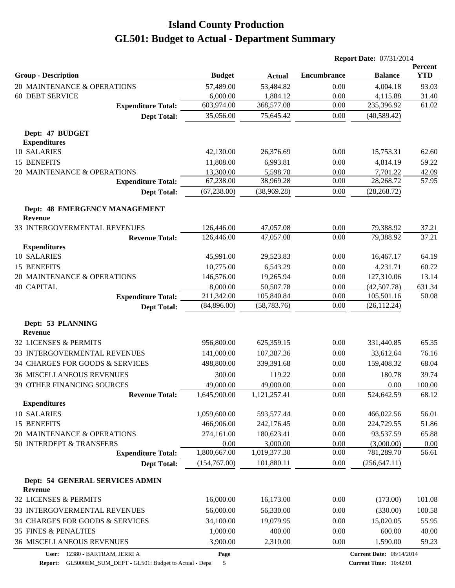|                                                 |                           |                            | <b>Report Date: 07/31/2014</b> |                                 |                       |
|-------------------------------------------------|---------------------------|----------------------------|--------------------------------|---------------------------------|-----------------------|
| <b>Group - Description</b>                      | <b>Budget</b>             | <b>Actual</b>              | <b>Encumbrance</b>             | <b>Balance</b>                  | Percent<br><b>YTD</b> |
| 20 MAINTENANCE & OPERATIONS                     | 57,489.00                 | 53,484.82                  | 0.00                           | 4,004.18                        | 93.03                 |
| <b>60 DEBT SERVICE</b>                          | 6,000.00                  | 1,884.12                   | 0.00                           | 4,115.88                        | 31.40                 |
| <b>Expenditure Total:</b>                       | 603,974.00                | 368,577.08                 | 0.00                           | 235,396.92                      | 61.02                 |
| <b>Dept Total:</b>                              | 35,056.00                 | 75,645.42                  | 0.00                           | (40, 589.42)                    |                       |
| Dept: 47 BUDGET<br><b>Expenditures</b>          |                           |                            |                                |                                 |                       |
| <b>10 SALARIES</b>                              | 42,130.00                 | 26,376.69                  | 0.00                           | 15,753.31                       | 62.60                 |
| 15 BENEFITS                                     | 11,808.00                 | 6,993.81                   | 0.00                           | 4,814.19                        | 59.22                 |
| 20 MAINTENANCE & OPERATIONS                     | 13,300.00                 | 5,598.78                   | 0.00                           | 7,701.22                        | 42.09                 |
| <b>Expenditure Total:</b>                       | 67,238.00                 | 38,969.28                  | 0.00                           | 28,268.72                       | 57.95                 |
| <b>Dept Total:</b>                              | (67, 238.00)              | (38,969.28)                | 0.00                           | (28, 268.72)                    |                       |
| Dept: 48 EMERGENCY MANAGEMENT<br>Revenue        |                           |                            |                                |                                 |                       |
| 33 INTERGOVERMENTAL REVENUES                    | 126,446.00                | 47,057.08                  | 0.00                           | 79,388.92                       | 37.21                 |
| <b>Revenue Total:</b>                           | 126,446.00                | 47,057.08                  | 0.00                           | 79,388.92                       | 37.21                 |
| <b>Expenditures</b>                             |                           |                            |                                |                                 |                       |
| 10 SALARIES                                     | 45,991.00                 | 29,523.83                  | 0.00                           | 16,467.17                       | 64.19                 |
| 15 BENEFITS                                     | 10,775.00                 | 6,543.29                   | 0.00                           | 4,231.71                        | 60.72                 |
| 20 MAINTENANCE & OPERATIONS                     | 146,576.00                | 19,265.94                  | 0.00                           | 127,310.06                      | 13.14                 |
| <b>40 CAPITAL</b>                               | 8,000.00                  | 50,507.78                  | 0.00                           | (42,507.78)                     | 631.34                |
| <b>Expenditure Total:</b><br><b>Dept Total:</b> | 211,342.00<br>(84,896.00) | 105,840.84<br>(58, 783.76) | 0.00<br>0.00                   | 105,501.16<br>(26, 112.24)      | 50.08                 |
|                                                 |                           |                            |                                |                                 |                       |
| Dept: 53 PLANNING<br>Revenue                    |                           |                            |                                |                                 |                       |
| 32 LICENSES & PERMITS                           | 956,800.00                | 625,359.15                 | 0.00                           | 331,440.85                      | 65.35                 |
| 33 INTERGOVERMENTAL REVENUES                    | 141,000.00                | 107,387.36                 | 0.00                           | 33,612.64                       | 76.16                 |
| 34 CHARGES FOR GOODS & SERVICES                 | 498,800.00                | 339,391.68                 | 0.00                           | 159,408.32                      | 68.04                 |
| <b>36 MISCELLANEOUS REVENUES</b>                | 300.00                    | 119.22                     | 0.00                           | 180.78                          | 39.74                 |
| 39 OTHER FINANCING SOURCES                      | 49,000.00                 | 49,000.00                  | 0.00                           | 0.00                            | 100.00                |
| <b>Revenue Total:</b>                           | 1,645,900.00              | 1,121,257.41               | 0.00                           | 524,642.59                      | 68.12                 |
| <b>Expenditures</b><br>10 SALARIES              | 1,059,600.00              | 593,577.44                 | 0.00                           | 466,022.56                      | 56.01                 |
| 15 BENEFITS                                     | 466,906.00                | 242,176.45                 | 0.00                           | 224,729.55                      | 51.86                 |
| 20 MAINTENANCE & OPERATIONS                     | 274,161.00                | 180,623.41                 | 0.00                           | 93,537.59                       | 65.88                 |
| 50 INTERDEPT & TRANSFERS                        | 0.00                      | 3,000.00                   | 0.00                           | (3,000.00)                      | 0.00                  |
| <b>Expenditure Total:</b>                       | 1,800,667.00              | 1,019,377.30               | 0.00                           | 781,289.70                      | 56.61                 |
| <b>Dept Total:</b>                              | (154,767.00)              | 101,880.11                 | 0.00                           | (256, 647.11)                   |                       |
| Dept: 54 GENERAL SERVICES ADMIN                 |                           |                            |                                |                                 |                       |
| Revenue                                         |                           |                            |                                |                                 |                       |
| 32 LICENSES & PERMITS                           | 16,000.00                 | 16,173.00                  | 0.00                           | (173.00)                        | 101.08                |
| 33 INTERGOVERMENTAL REVENUES                    | 56,000.00                 | 56,330.00                  | 0.00                           | (330.00)                        | 100.58                |
| 34 CHARGES FOR GOODS & SERVICES                 | 34,100.00                 | 19,079.95                  | 0.00                           | 15,020.05                       | 55.95                 |
| 35 FINES & PENALTIES                            | 1,000.00                  | 400.00                     | 0.00                           | 600.00                          | 40.00                 |
| <b>36 MISCELLANEOUS REVENUES</b>                | 3,900.00                  | 2,310.00                   | 0.00                           | 1,590.00                        | 59.23                 |
| 12380 - BARTRAM, JERRI A<br>User:               | Page                      |                            |                                | <b>Current Date: 08/14/2014</b> |                       |

**Report:** GL5000EM\_SUM\_DEPT - GL501: Budget to Actual - Depa 5

**Current Date:** 08/14/2014 **Current Time:** 10:42:01